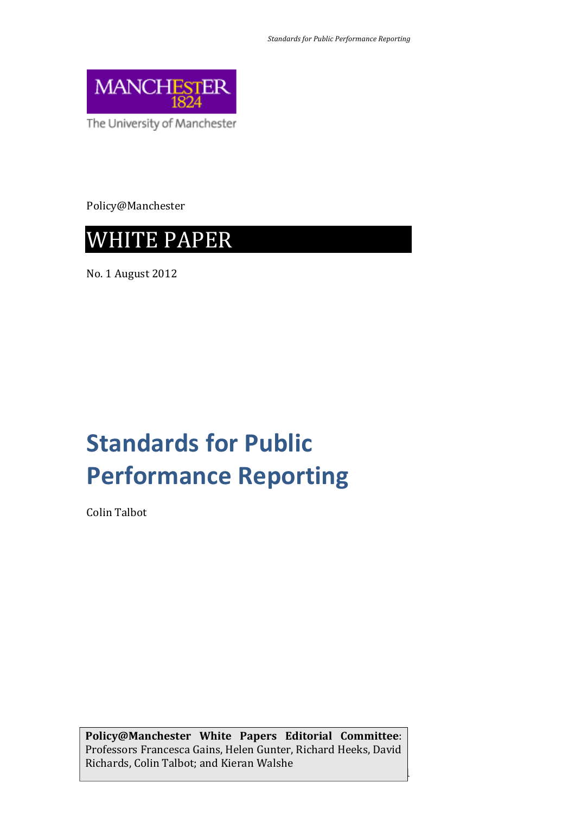

The University of Manchester

Policy@Manchester



No. 1 August 2012

# **Standards for Public Performance Reporting**

Colin Talbot

**Policy@Manchester White Papers Editorial Committee**: Professors Francesca Gains, Helen Gunter, Richard Heeks, David Richards, Colin Talbot; and Kieran Walshe

1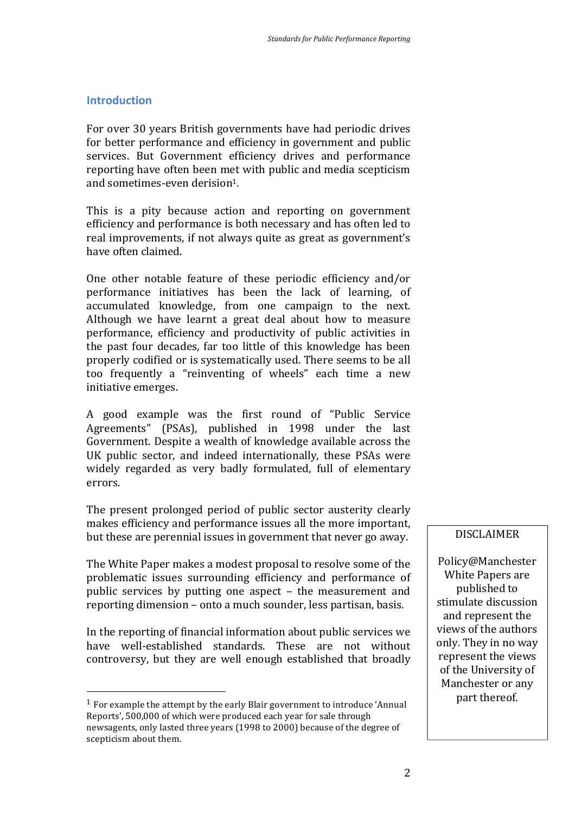## **Introduction**

For over 30 years British governments have had periodic drives for better performance and efficiency in government and public services. But Government efficiency drives and performance reporting have often been met with public and media scepticism and sometimes-even derision<sup>1</sup>.

This is a pity because action and reporting on government efficiency and performance is both necessary and has often led to real improvements, if not always quite as great as government's have often claimed.

One other notable feature of these periodic efficiency and/or performance initiatives has been the lack of learning, of accumulated knowledge, from one campaign to the next. Although we have learnt a great deal about how to measure performance, efficiency and productivity of public activities in the past four decades, far too little of this knowledge has been properly codified or is systematically used. There seems to be all too frequently a "reinventing of wheels" each time a new initiative emerges.

A good example was the first round of "Public Service Agreements" (PSAs), published in 1998 under the last Government. Despite a wealth of knowledge available across the UK public sector, and indeed internationally, these PSAs were widely regarded as very badly formulated, full of elementary errors.

The present prolonged period of public sector austerity clearly makes efficiency and performance issues all the more important, but these are perennial issues in government that never go away.

The White Paper makes a modest proposal to resolve some of the problematic issues surrounding efficiency and performance of public services by putting one aspect – the measurement and reporting dimension – onto a much sounder, less partisan, basis.

In the reporting of financial information about public services we have well-established standards. These are not without controversy, but they are well enough established that broadly

 

### DISCLAIMER

Policy@Manchester White Papers are published to stimulate discussion and represent the views of the authors only. They in no way represent the views of the University of Manchester or any part thereof.

 $1$  For example the attempt by the early Blair government to introduce 'Annual Reports', 500,000 of which were produced each vear for sale through newsagents, only lasted three years (1998 to 2000) because of the degree of scepticism about them.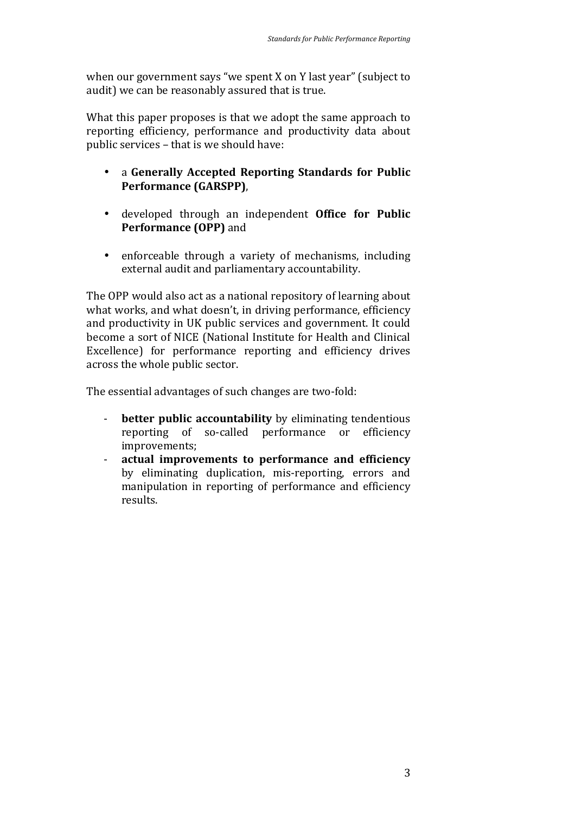when our government says "we spent  $X$  on  $Y$  last year" (subject to audit) we can be reasonably assured that is true.

What this paper proposes is that we adopt the same approach to reporting efficiency, performance and productivity data about public services - that is we should have:

- a Generally Accepted Reporting Standards for Public **Performance (GARSPP)**,
- developed through an independent **Office for Public Performance (OPP)** and
- enforceable through a variety of mechanisms, including external audit and parliamentary accountability.

The OPP would also act as a national repository of learning about what works, and what doesn't, in driving performance, efficiency and productivity in UK public services and government. It could become a sort of NICE (National Institute for Health and Clinical Excellence) for performance reporting and efficiency drives across the whole public sector.

The essential advantages of such changes are two-fold:

- **better public accountability** by eliminating tendentious reporting of so-called performance or efficiency improvements;
- **actual improvements to performance and efficiency** by eliminating duplication, mis-reporting, errors and manipulation in reporting of performance and efficiency results.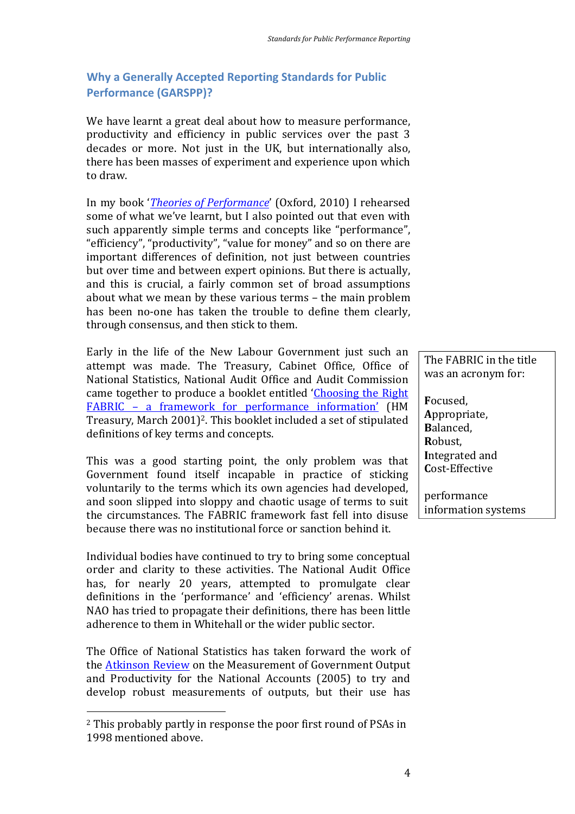## **Why a Generally Accepted Reporting Standards for Public Performance (GARSPP)?**

We have learnt a great deal about how to measure performance, productivity and efficiency in public services over the past 3 decades or more. Not just in the UK, but internationally also, there has been masses of experiment and experience upon which to draw.

In my book '*Theories of Performance*' (Oxford, 2010) I rehearsed some of what we've learnt, but I also pointed out that even with such apparently simple terms and concepts like "performance". "efficiency", "productivity", "value for money" and so on there are important differences of definition, not just between countries but over time and between expert opinions. But there is actually, and this is crucial, a fairly common set of broad assumptions about what we mean by these various terms - the main problem has been no-one has taken the trouble to define them clearly, through consensus, and then stick to them.

Early in the life of the New Labour Government just such an attempt was made. The Treasury, Cabinet Office, Office of National Statistics, National Audit Office and Audit Commission came together to produce a booklet entitled 'Choosing the Right FABRIC - a framework for performance information' (HM Treasury, March 2001)<sup>2</sup>. This booklet included a set of stipulated definitions of key terms and concepts.

This was a good starting point, the only problem was that Government found itself incapable in practice of sticking voluntarily to the terms which its own agencies had developed, and soon slipped into sloppy and chaotic usage of terms to suit the circumstances. The FABRIC framework fast fell into disuse because there was no institutional force or sanction behind it.

Individual bodies have continued to try to bring some conceptual order and clarity to these activities. The National Audit Office has, for nearly 20 years, attempted to promulgate clear definitions in the 'performance' and 'efficiency' arenas. Whilst NAO has tried to propagate their definitions, there has been little adherence to them in Whitehall or the wider public sector.

The Office of National Statistics has taken forward the work of the Atkinson Review on the Measurement of Government Output and Productivity for the National Accounts (2005) to try and develop robust measurements of outputs, but their use has

 

The FABRIC in the title was an acronym for:

**F**ocused, **A**ppropriate, **B**alanced, **R**obust, **I**ntegrated and **C**ost-Effective

performance information systems

 $2$  This probably partly in response the poor first round of PSAs in 1998 mentioned above.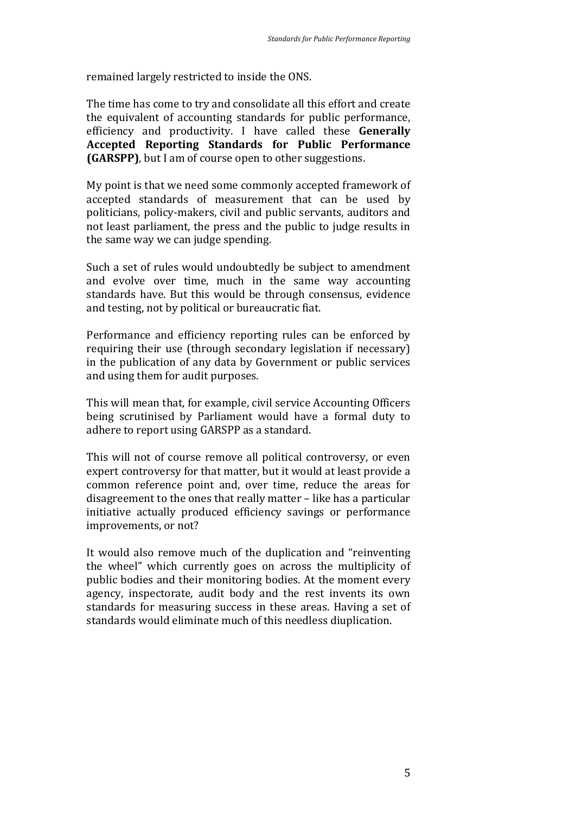remained largely restricted to inside the ONS.

The time has come to try and consolidate all this effort and create the equivalent of accounting standards for public performance, efficiency and productivity. I have called these **Generally Accepted Reporting Standards for Public Performance (GARSPP)**, but I am of course open to other suggestions.

My point is that we need some commonly accepted framework of accepted standards of measurement that can be used by politicians, policy-makers, civil and public servants, auditors and not least parliament, the press and the public to judge results in the same way we can judge spending.

Such a set of rules would undoubtedly be subject to amendment and evolve over time, much in the same way accounting standards have. But this would be through consensus, evidence and testing, not by political or bureaucratic fiat.

Performance and efficiency reporting rules can be enforced by requiring their use (through secondary legislation if necessary) in the publication of any data by Government or public services and using them for audit purposes.

This will mean that, for example, civil service Accounting Officers being scrutinised by Parliament would have a formal duty to adhere to report using GARSPP as a standard.

This will not of course remove all political controversy, or even expert controversy for that matter, but it would at least provide a common reference point and, over time, reduce the areas for disagreement to the ones that really matter – like has a particular initiative actually produced efficiency savings or performance improvements, or not?

It would also remove much of the duplication and "reinventing" the wheel" which currently goes on across the multiplicity of public bodies and their monitoring bodies. At the moment every agency, inspectorate, audit body and the rest invents its own standards for measuring success in these areas. Having a set of standards would eliminate much of this needless diuplication.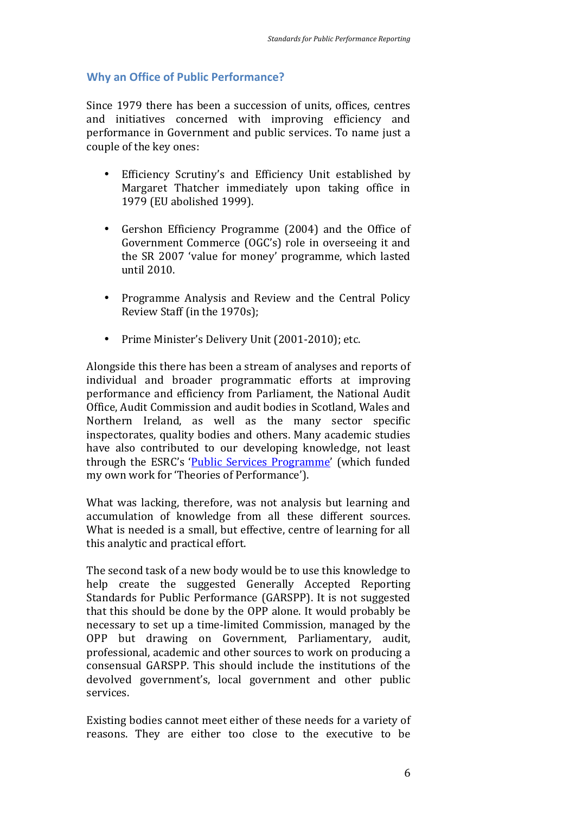### **Why an Office of Public Performance?**

Since 1979 there has been a succession of units, offices, centres and initiatives concerned with improving efficiency and performance in Government and public services. To name just a couple of the key ones:

- Efficiency Scrutiny's and Efficiency Unit established by Margaret Thatcher immediately upon taking office in 1979 (EU abolished 1999).
- Gershon Efficiency Programme (2004) and the Office of Government Commerce (OGC's) role in overseeing it and the SR 2007 'value for money' programme, which lasted until 2010.
- Programme Analysis and Review and the Central Policy Review Staff (in the 1970s);
- Prime Minister's Delivery Unit (2001-2010); etc.

Alongside this there has been a stream of analyses and reports of individual and broader programmatic efforts at improving performance and efficiency from Parliament, the National Audit Office, Audit Commission and audit bodies in Scotland, Wales and Northern Ireland, as well as the many sector specific inspectorates, quality bodies and others. Many academic studies have also contributed to our developing knowledge, not least through the ESRC's 'Public Services Programme' (which funded my own work for 'Theories of Performance').

What was lacking, therefore, was not analysis but learning and accumulation of knowledge from all these different sources. What is needed is a small, but effective, centre of learning for all this analytic and practical effort.

The second task of a new body would be to use this knowledge to help create the suggested Generally Accepted Reporting Standards for Public Performance (GARSPP). It is not suggested that this should be done by the OPP alone. It would probably be necessary to set up a time-limited Commission, managed by the OPP but drawing on Government, Parliamentary, audit, professional, academic and other sources to work on producing a consensual GARSPP. This should include the institutions of the devolved government's, local government and other public services.

Existing bodies cannot meet either of these needs for a variety of reasons. They are either too close to the executive to be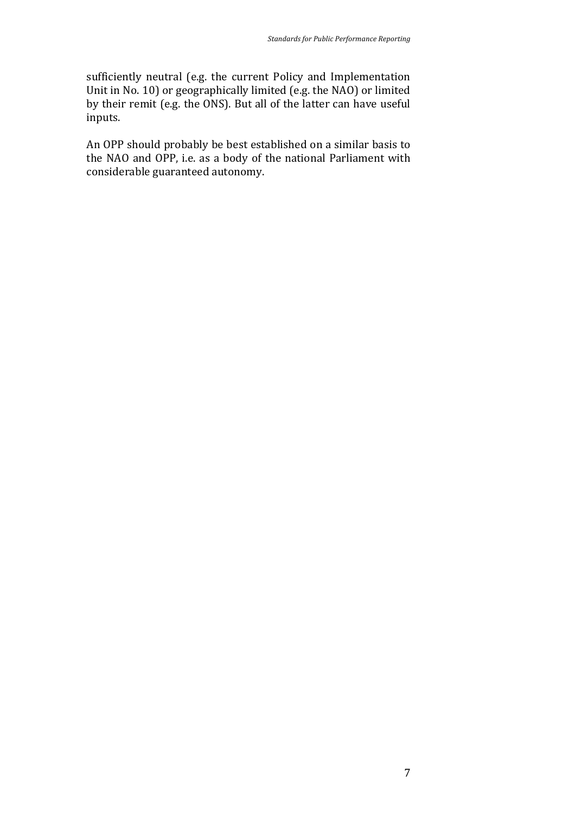sufficiently neutral (e.g. the current Policy and Implementation Unit in No. 10) or geographically limited (e.g. the NAO) or limited by their remit (e.g. the ONS). But all of the latter can have useful inputs.

An OPP should probably be best established on a similar basis to the NAO and OPP, i.e. as a body of the national Parliament with considerable guaranteed autonomy.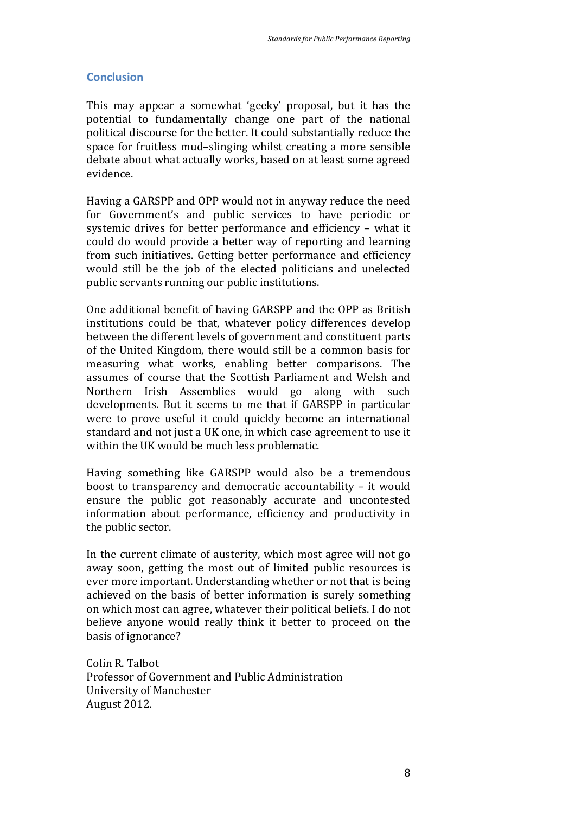## **Conclusion**

This may appear a somewhat 'geeky' proposal, but it has the potential to fundamentally change one part of the national political discourse for the better. It could substantially reduce the space for fruitless mud-slinging whilst creating a more sensible debate about what actually works, based on at least some agreed evidence. 

Having a GARSPP and OPP would not in anyway reduce the need for Government's and public services to have periodic or systemic drives for better performance and efficiency - what it could do would provide a better way of reporting and learning from such initiatives. Getting better performance and efficiency would still be the job of the elected politicians and unelected public servants running our public institutions.

One additional benefit of having GARSPP and the OPP as British institutions could be that, whatever policy differences develop between the different levels of government and constituent parts of the United Kingdom, there would still be a common basis for measuring what works, enabling better comparisons. The assumes of course that the Scottish Parliament and Welsh and Northern Irish Assemblies would go along with such developments. But it seems to me that if GARSPP in particular were to prove useful it could quickly become an international standard and not just a UK one, in which case agreement to use it within the UK would be much less problematic.

Having something like GARSPP would also be a tremendous boost to transparency and democratic accountability  $-$  it would ensure the public got reasonably accurate and uncontested information about performance, efficiency and productivity in the public sector.

In the current climate of austerity, which most agree will not go away soon, getting the most out of limited public resources is ever more important. Understanding whether or not that is being achieved on the basis of better information is surely something on which most can agree, whatever their political beliefs. I do not believe anyone would really think it better to proceed on the basis of ignorance?

Colin R Talbot Professor of Government and Public Administration University of Manchester August 2012.